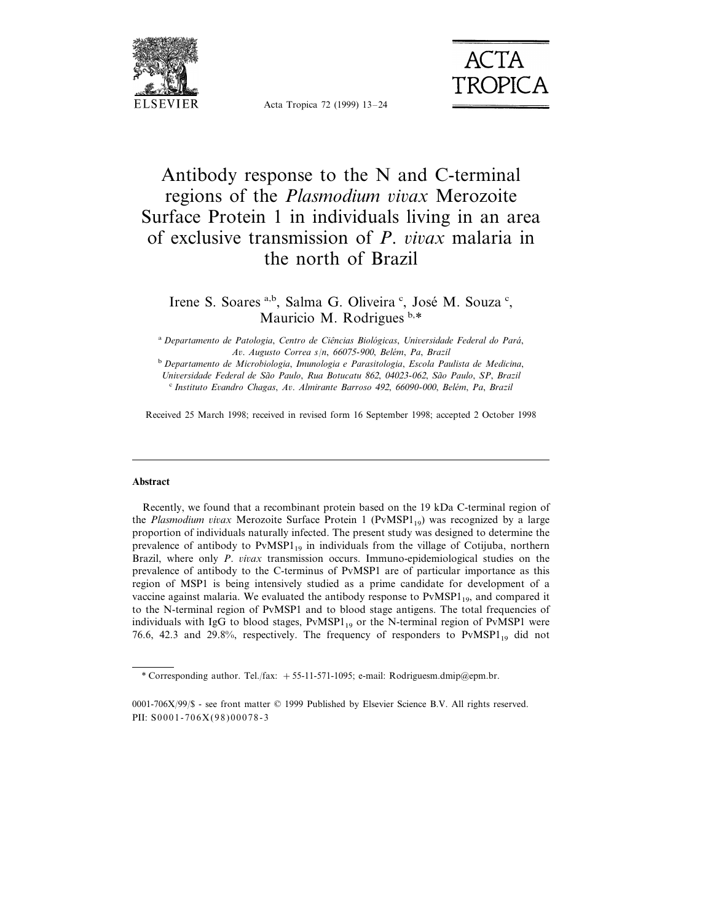

**ACTA TROPICA** 

Acta Tropica 72 (1999) 13–24

# Antibody response to the N and C-terminal regions of the *Plasmodium vivax* Merozoite Surface Protein 1 in individuals living in an area of exclusive transmission of *P. vivax* malaria in the north of Brazil

Irene S. Soares a,b, Salma G. Oliveira<sup>c</sup>, José M. Souza<sup>c</sup>, Mauricio M. Rodrigues b,\*

<sup>a</sup> *Departamento de Patologia*, *Centro de Cieˆncias Biolo´gicas*, *Uni*6*ersidade Federal do Para´*, *A*6. *Augusto Correa s*/*n*, <sup>66075</sup>-900, *Bele´m*, *Pa*, *Brazil*

<sup>b</sup> *Departamento de Microbiologia*, *Imunologia e Parasitologia*, *Escola Paulista de Medicina*,

*Uni*6*ersidade Federal de Sa˜o Paulo*, *Rua Botucatu* <sup>862</sup>, <sup>04023</sup>-062, *Sa˜o Paulo*, *SP*, *Brazil*

<sup>c</sup> *Instituto E*6*andro Chagas*, *A*6. *Almirante Barroso* <sup>492</sup>, <sup>66090</sup>-000, *Bele´m*, *Pa*, *Brazil*

Received 25 March 1998; received in revised form 16 September 1998; accepted 2 October 1998

#### **Abstract**

Recently, we found that a recombinant protein based on the 19 kDa C-terminal region of the *Plasmodium vivax* Merozoite Surface Protein 1 (PvMSP1<sub>19</sub>) was recognized by a large proportion of individuals naturally infected. The present study was designed to determine the prevalence of antibody to  $PvMSP1_{19}$  in individuals from the village of Cotijuba, northern Brazil, where only *P. vivax* transmission occurs. Immuno-epidemiological studies on the prevalence of antibody to the C-terminus of PvMSP1 are of particular importance as this region of MSP1 is being intensively studied as a prime candidate for development of a vaccine against malaria. We evaluated the antibody response to  $PvMSPI_{19}$ , and compared it to the N-terminal region of PvMSP1 and to blood stage antigens. The total frequencies of individuals with IgG to blood stages,  $PvMSP1_{19}$  or the N-terminal region of PvMSP1 were 76.6, 42.3 and 29.8%, respectively. The frequency of responders to  $PvMSP1_{19}$  did not

<sup>\*</sup> Corresponding author. Tel./fax:  $+55$ -11-571-1095; e-mail: Rodriguesm.dmip@epm.br.

<sup>0001-706</sup>X/99/\$ - see front matter © 1999 Published by Elsevier Science B.V. All rights reserved. PII: S0001-706X(98)00078-3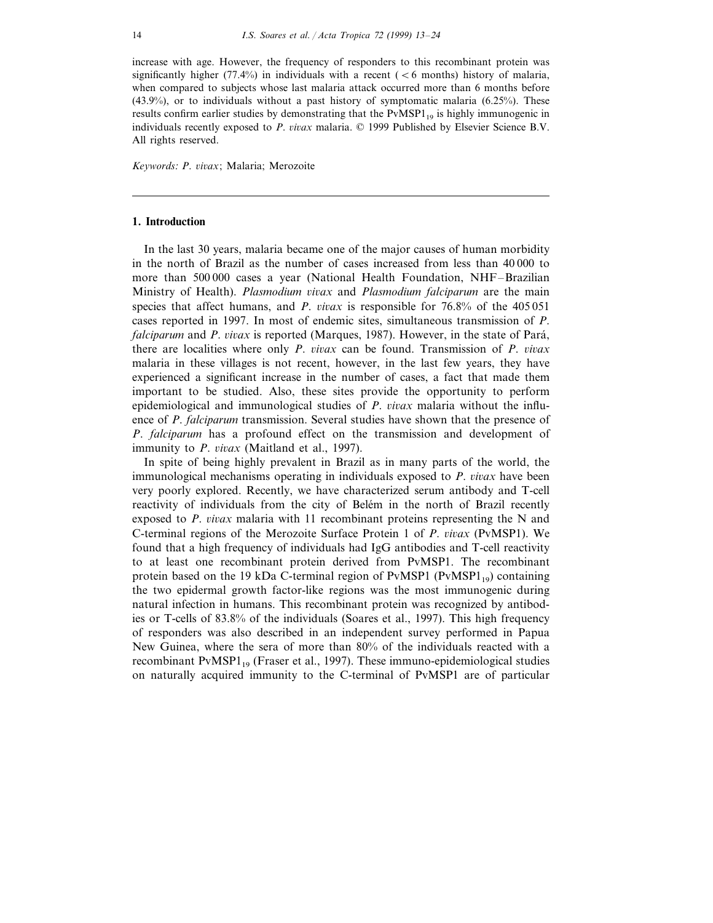increase with age. However, the frequency of responders to this recombinant protein was significantly higher (77.4%) in individuals with a recent ( $\lt 6$  months) history of malaria, when compared to subjects whose last malaria attack occurred more than 6 months before  $(43.9\%)$ , or to individuals without a past history of symptomatic malaria  $(6.25\%)$ . These results confirm earlier studies by demonstrating that the  $PvMSP1_{19}$  is highly immunogenic in individuals recently exposed to *P. vivax* malaria. © 1999 Published by Elsevier Science B.V. All rights reserved.

*Keywords*: *P*. 6*i*6*ax*; Malaria; Merozoite

#### **1. Introduction**

In the last 30 years, malaria became one of the major causes of human morbidity in the north of Brazil as the number of cases increased from less than 40 000 to more than 500 000 cases a year (National Health Foundation, NHF–Brazilian Ministry of Health). *Plasmodium* 6*i*6*ax* and *Plasmodium falciparum* are the main species that affect humans, and *P. vivax* is responsible for  $76.8%$  of the  $405\,051$ cases reported in 1997. In most of endemic sites, simultaneous transmission of *P*. *falciparum* and *P. vivax* is reported (Marques, 1987). However, in the state of Pará, there are localities where only *P. vivax* can be found. Transmission of *P. vivax* malaria in these villages is not recent, however, in the last few years, they have experienced a significant increase in the number of cases, a fact that made them important to be studied. Also, these sites provide the opportunity to perform epidemiological and immunological studies of *P. vivax* malaria without the influence of *P*. *falciparum* transmission. Several studies have shown that the presence of *P*. *falciparum* has a profound effect on the transmission and development of immunity to *P. vivax* (Maitland et al., 1997).

In spite of being highly prevalent in Brazil as in many parts of the world, the immunological mechanisms operating in individuals exposed to *P. vivax* have been very poorly explored. Recently, we have characterized serum antibody and T-cell reactivity of individuals from the city of Belém in the north of Brazil recently exposed to  $P$ .  $vivax$  malaria with 11 recombinant proteins representing the N and C-terminal regions of the Merozoite Surface Protein 1 of *P. vivax* (PvMSP1). We found that a high frequency of individuals had IgG antibodies and T-cell reactivity to at least one recombinant protein derived from PvMSP1. The recombinant protein based on the 19 kDa C-terminal region of  $PvMSP1 (PvMSP1_{19})$  containing the two epidermal growth factor-like regions was the most immunogenic during natural infection in humans. This recombinant protein was recognized by antibodies or T-cells of 83.8% of the individuals (Soares et al., 1997). This high frequency of responders was also described in an independent survey performed in Papua New Guinea, where the sera of more than 80% of the individuals reacted with a recombinant  $PvMSPI_{19}$  (Fraser et al., 1997). These immuno-epidemiological studies on naturally acquired immunity to the C-terminal of PvMSP1 are of particular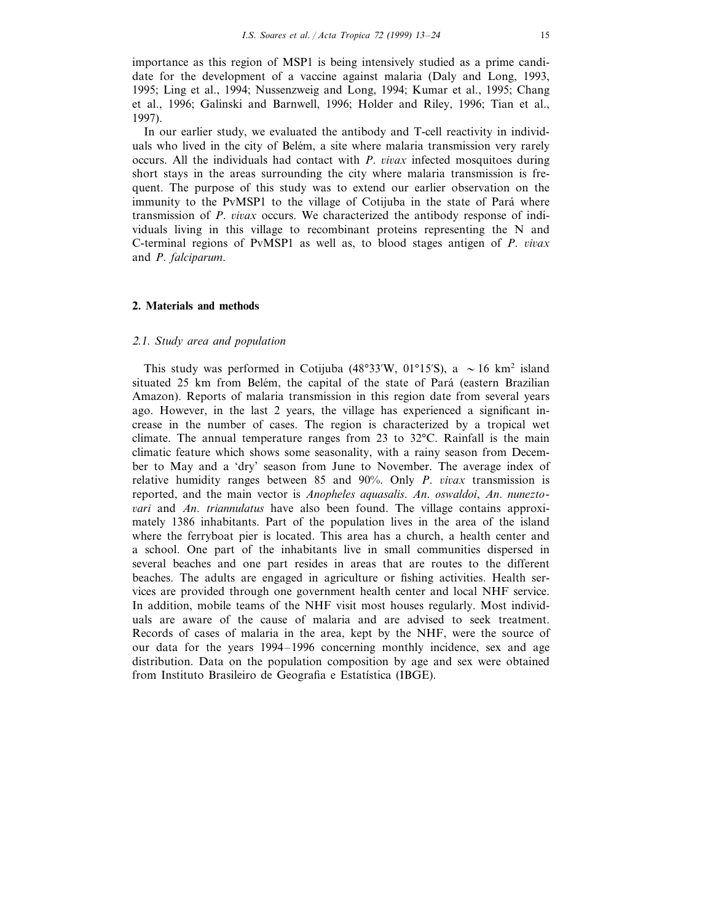importance as this region of MSP1 is being intensively studied as a prime candidate for the development of a vaccine against malaria (Daly and Long, 1993, 1995; Ling et al., 1994; Nussenzweig and Long, 1994; Kumar et al., 1995; Chang et al., 1996; Galinski and Barnwell, 1996; Holder and Riley, 1996; Tian et al., 1997).

In our earlier study, we evaluated the antibody and T-cell reactivity in individuals who lived in the city of Belém, a site where malaria transmission very rarely occurs. All the individuals had contact with *P. vivax* infected mosquitoes during short stays in the areas surrounding the city where malaria transmission is frequent. The purpose of this study was to extend our earlier observation on the immunity to the PvMSP1 to the village of Cotijuba in the state of Pará where transmission of *P. vivax* occurs. We characterized the antibody response of individuals living in this village to recombinant proteins representing the N and C-terminal regions of PvMSP1 as well as, to blood stages antigen of *P. vivax* and *P*. *falciparum*.

#### **2. Materials and methods**

#### <sup>2</sup>.1. *Study area and population*

This study was performed in Cotijuba (48°33′W, 01°15′S), a  $\sim$  16 km<sup>2</sup> island situated 25 km from Belém, the capital of the state of Pará (eastern Brazilian Amazon). Reports of malaria transmission in this region date from several years ago. However, in the last 2 years, the village has experienced a significant increase in the number of cases. The region is characterized by a tropical wet climate. The annual temperature ranges from 23 to 32°C. Rainfall is the main climatic feature which shows some seasonality, with a rainy season from December to May and a 'dry' season from June to November. The average index of relative humidity ranges between 85 and 90%. Only *P. vivax* transmission is reported, and the main vector is *Anopheles aquasalis*. *An*. *oswaldoi*, *An*. *nunezto*-6*ari* and *An*. *triannulatus* have also been found. The village contains approximately 1386 inhabitants. Part of the population lives in the area of the island where the ferryboat pier is located. This area has a church, a health center and a school. One part of the inhabitants live in small communities dispersed in several beaches and one part resides in areas that are routes to the different beaches. The adults are engaged in agriculture or fishing activities. Health services are provided through one government health center and local NHF service. In addition, mobile teams of the NHF visit most houses regularly. Most individuals are aware of the cause of malaria and are advised to seek treatment. Records of cases of malaria in the area, kept by the NHF, were the source of our data for the years 1994–1996 concerning monthly incidence, sex and age distribution. Data on the population composition by age and sex were obtained from Instituto Brasileiro de Geografia e Estatística (IBGE).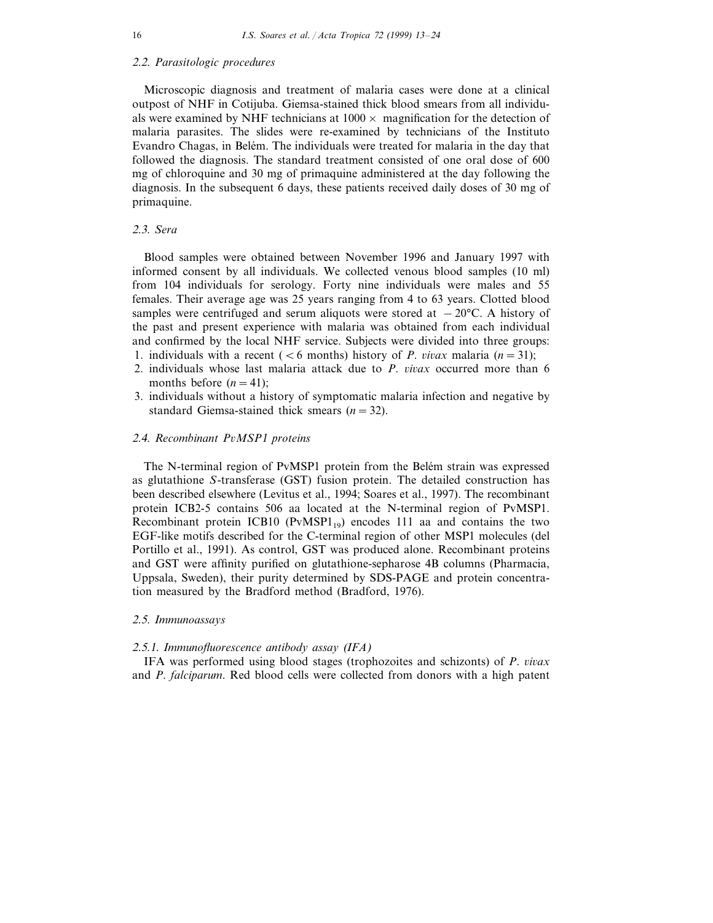## <sup>2</sup>.2. *Parasitologic procedures*

Microscopic diagnosis and treatment of malaria cases were done at a clinical outpost of NHF in Cotijuba. Giemsa-stained thick blood smears from all individuals were examined by NHF technicians at  $1000 \times$  magnification for the detection of malaria parasites. The slides were re-examined by technicians of the Instituto Evandro Chagas, in Belém. The individuals were treated for malaria in the day that followed the diagnosis. The standard treatment consisted of one oral dose of 600 mg of chloroquine and 30 mg of primaquine administered at the day following the diagnosis. In the subsequent 6 days, these patients received daily doses of 30 mg of primaquine.

#### <sup>2</sup>.3. *Sera*

Blood samples were obtained between November 1996 and January 1997 with informed consent by all individuals. We collected venous blood samples (10 ml) from 104 individuals for serology. Forty nine individuals were males and 55 females. Their average age was 25 years ranging from 4 to 63 years. Clotted blood samples were centrifuged and serum aliquots were stored at  $-20^{\circ}$ C. A history of the past and present experience with malaria was obtained from each individual and confirmed by the local NHF service. Subjects were divided into three groups:

- 1. individuals with a recent ( $\lt 6$  months) history of *P. vivax* malaria ( $n=31$ );
- 2. individuals whose last malaria attack due to *P. vivax* occurred more than 6 months before  $(n=41)$ ;
- 3. individuals without a history of symptomatic malaria infection and negative by standard Giemsa-stained thick smears (*n*=32).

### <sup>2</sup>.4. *Recombinant P*6*MSP*<sup>1</sup> *proteins*

The N-terminal region of PvMSP1 protein from the Belém strain was expressed as glutathione *S*-transferase (GST) fusion protein. The detailed construction has been described elsewhere (Levitus et al., 1994; Soares et al., 1997). The recombinant protein ICB2-5 contains 506 aa located at the N-terminal region of PvMSP1. Recombinant protein ICB10 ( $PvMSP1_{19}$ ) encodes 111 aa and contains the two EGF-like motifs described for the C-terminal region of other MSP1 molecules (del Portillo et al., 1991). As control, GST was produced alone. Recombinant proteins and GST were affinity purified on glutathione-sepharose 4B columns (Pharmacia, Uppsala, Sweden), their purity determined by SDS-PAGE and protein concentration measured by the Bradford method (Bradford, 1976).

#### <sup>2</sup>.5. *Immunoassays*

#### <sup>2</sup>.5.1. *Immunofluorescence antibody assay* (*IFA*)

IFA was performed using blood stages (trophozoites and schizonts) of *P. vivax* and *P*. *falciparum*. Red blood cells were collected from donors with a high patent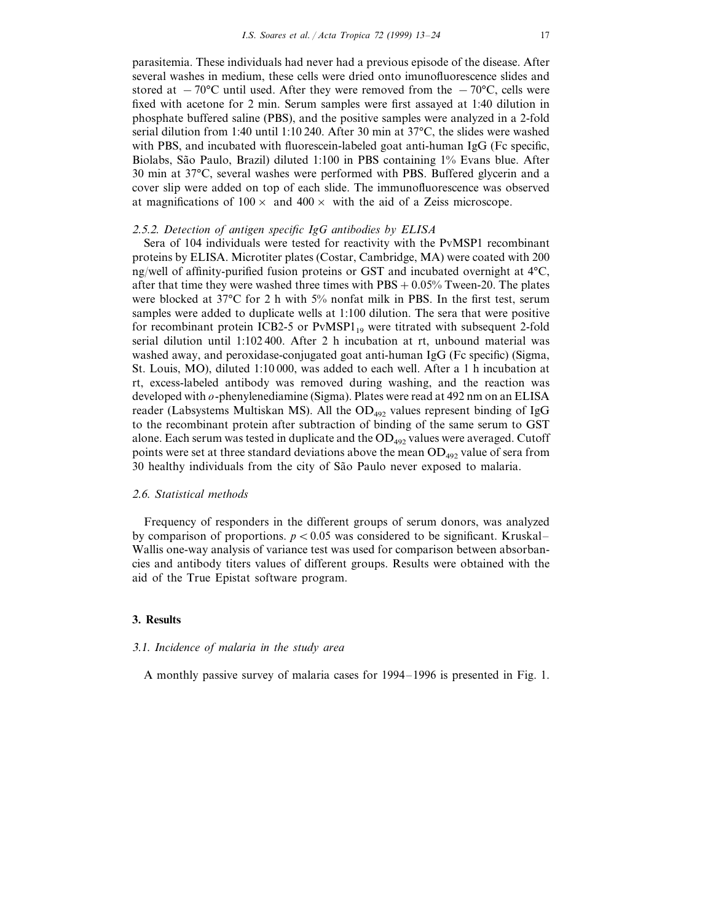parasitemia. These individuals had never had a previous episode of the disease. After several washes in medium, these cells were dried onto imunofluorescence slides and stored at  $-70$ °C until used. After they were removed from the  $-70$ °C, cells were fixed with acetone for 2 min. Serum samples were first assayed at 1:40 dilution in phosphate buffered saline (PBS), and the positive samples were analyzed in a 2-fold serial dilution from 1:40 until 1:10 240. After 30 min at 37°C, the slides were washed with PBS, and incubated with fluorescein-labeled goat anti-human IgG (Fc specific, Biolabs, São Paulo, Brazil) diluted 1:100 in PBS containing 1% Evans blue. After 30 min at 37°C, several washes were performed with PBS. Buffered glycerin and a cover slip were added on top of each slide. The immunofluorescence was observed at magnifications of  $100 \times$  and  $400 \times$  with the aid of a Zeiss microscope.

#### <sup>2</sup>.5.2. *Detection of antigen specific IgG antibodies by ELISA*

Sera of 104 individuals were tested for reactivity with the PvMSP1 recombinant proteins by ELISA. Microtiter plates (Costar, Cambridge, MA) were coated with 200 ng/well of affinity-purified fusion proteins or GST and incubated overnight at 4°C, after that time they were washed three times with  $\text{PBS} + 0.05\%$  Tween-20. The plates were blocked at 37°C for 2 h with 5% nonfat milk in PBS. In the first test, serum samples were added to duplicate wells at 1:100 dilution. The sera that were positive for recombinant protein ICB2-5 or  $PvMSP1_{19}$  were titrated with subsequent 2-fold serial dilution until 1:102 400. After 2 h incubation at rt, unbound material was washed away, and peroxidase-conjugated goat anti-human IgG (Fc specific) (Sigma, St. Louis, MO), diluted 1:10 000, was added to each well. After a 1 h incubation at rt, excess-labeled antibody was removed during washing, and the reaction was developed with *o*-phenylenediamine (Sigma). Plates were read at 492 nm on an ELISA reader (Labsystems Multiskan MS). All the  $OD_{492}$  values represent binding of IgG to the recombinant protein after subtraction of binding of the same serum to GST alone. Each serum was tested in duplicate and the  $OD_{492}$  values were averaged. Cutoff points were set at three standard deviations above the mean  $OD_{492}$  value of sera from 30 healthy individuals from the city of São Paulo never exposed to malaria.

#### <sup>2</sup>.6. *Statistical methods*

Frequency of responders in the different groups of serum donors, was analyzed by comparison of proportions.  $p < 0.05$  was considered to be significant. Kruskal– Wallis one-way analysis of variance test was used for comparison between absorbancies and antibody titers values of different groups. Results were obtained with the aid of the True Epistat software program.

#### **3. Results**

#### 3.1. *Incidence of malaria in the study area*

A monthly passive survey of malaria cases for 1994–1996 is presented in Fig. 1.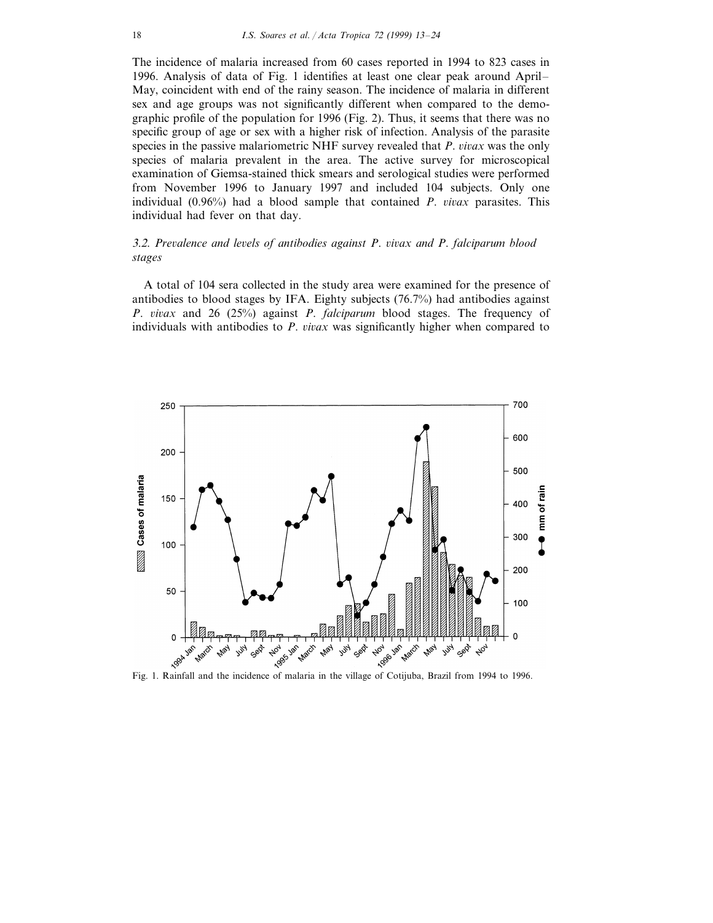The incidence of malaria increased from 60 cases reported in 1994 to 823 cases in 1996. Analysis of data of Fig. 1 identifies at least one clear peak around April– May, coincident with end of the rainy season. The incidence of malaria in different sex and age groups was not significantly different when compared to the demographic profile of the population for 1996 (Fig. 2). Thus, it seems that there was no specific group of age or sex with a higher risk of infection. Analysis of the parasite species in the passive malariometric NHF survey revealed that *P*. *vivax* was the only species of malaria prevalent in the area. The active survey for microscopical examination of Giemsa-stained thick smears and serological studies were performed from November 1996 to January 1997 and included 104 subjects. Only one individual (0.96%) had a blood sample that contained *P. vivax* parasites. This individual had fever on that day.

# <sup>3</sup>.2. *Pre*6*alence and le*6*els of antibodies against P*. 6*i*6*ax and P*. *falciparum blood stages*

A total of 104 sera collected in the study area were examined for the presence of antibodies to blood stages by IFA. Eighty subjects (76.7%) had antibodies against *P.* vivax and 26 (25%) against *P. falciparum* blood stages. The frequency of individuals with antibodies to *P. vivax* was significantly higher when compared to

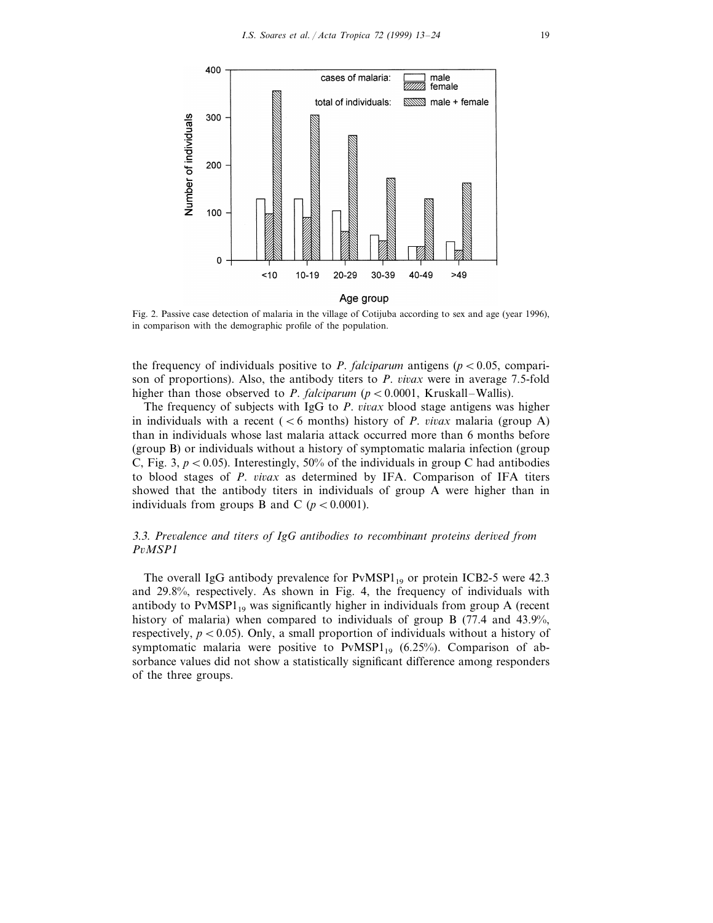

Age group

Fig. 2. Passive case detection of malaria in the village of Cotijuba according to sex and age (year 1996), in comparison with the demographic profile of the population.

the frequency of individuals positive to *P. falciparum* antigens ( $p < 0.05$ , comparison of proportions). Also, the antibody titers to *P. vivax* were in average 7.5-fold higher than those observed to *P. falciparum* ( $p < 0.0001$ , Kruskall–Wallis).

The frequency of subjects with IgG to *P. vivax* blood stage antigens was higher in individuals with a recent ( $\lt 6$  months) history of *P. vivax* malaria (group A) than in individuals whose last malaria attack occurred more than 6 months before (group B) or individuals without a history of symptomatic malaria infection (group C, Fig. 3,  $p < 0.05$ ). Interestingly, 50% of the individuals in group C had antibodies to blood stages of *P. vivax* as determined by IFA. Comparison of IFA titers showed that the antibody titers in individuals of group A were higher than in individuals from groups B and C ( $p < 0.0001$ ).

# <sup>3</sup>.3. *Pre*6*alence and titers of IgG antibodies to recombinant proteins deri*6*ed from P*6*MSP*<sup>1</sup>

The overall IgG antibody prevalence for  $PvMSP1_{19}$  or protein ICB2-5 were 42.3 and 29.8%, respectively. As shown in Fig. 4, the frequency of individuals with antibody to  $PvMSP1_{19}$  was significantly higher in individuals from group A (recent history of malaria) when compared to individuals of group B (77.4 and 43.9%, respectively,  $p < 0.05$ ). Only, a small proportion of individuals without a history of symptomatic malaria were positive to  $PvMSP1_{19}$  (6.25%). Comparison of absorbance values did not show a statistically significant difference among responders of the three groups.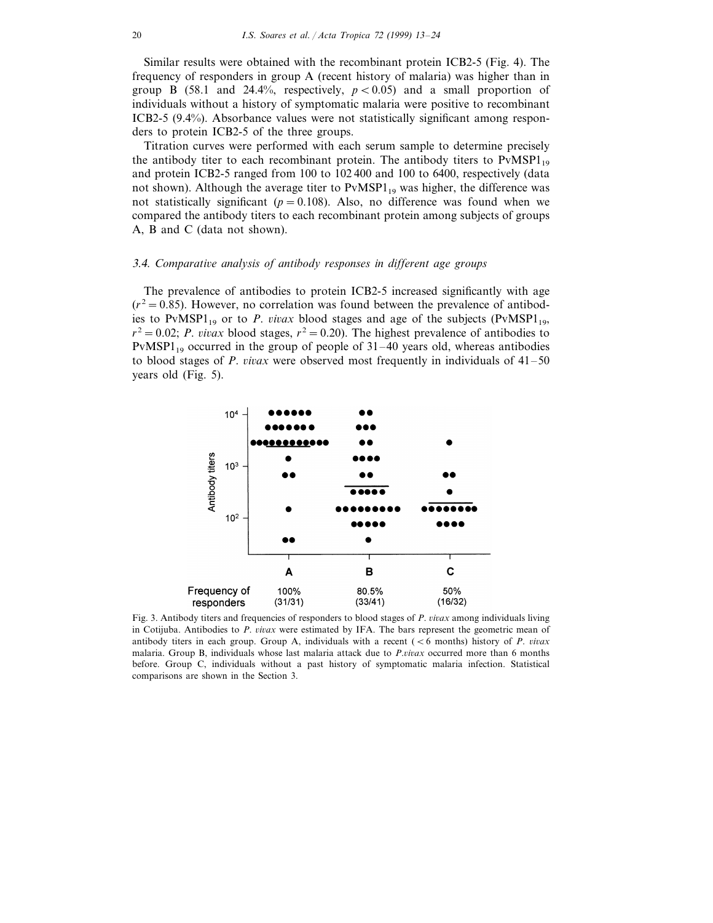Similar results were obtained with the recombinant protein ICB2-5 (Fig. 4). The frequency of responders in group A (recent history of malaria) was higher than in group B (58.1 and 24.4%, respectively,  $p < 0.05$ ) and a small proportion of individuals without a history of symptomatic malaria were positive to recombinant ICB2-5 (9.4%). Absorbance values were not statistically significant among responders to protein ICB2-5 of the three groups.

Titration curves were performed with each serum sample to determine precisely the antibody titer to each recombinant protein. The antibody titers to  $PvMSPI_{19}$ and protein ICB2-5 ranged from 100 to 102 400 and 100 to 6400, respectively (data not shown). Although the average titer to  $PvMSP1_{19}$  was higher, the difference was not statistically significant ( $p = 0.108$ ). Also, no difference was found when we compared the antibody titers to each recombinant protein among subjects of groups A, B and C (data not shown).

## 3.4. Comparative analysis of antibody responses in different age groups

The prevalence of antibodies to protein ICB2-5 increased significantly with age  $(r^2 = 0.85)$ . However, no correlation was found between the prevalence of antibodies to PvMSP1<sub>19</sub> or to *P. vivax* blood stages and age of the subjects (PvMSP1<sub>19</sub>,  $r^2 = 0.02$ ; *P. vivax* blood stages,  $r^2 = 0.20$ ). The highest prevalence of antibodies to PvMSP1<sub>19</sub> occurred in the group of people of  $31-40$  years old, whereas antibodies to blood stages of *P. vivax* were observed most frequently in individuals of  $41-50$ years old (Fig. 5).



Fig. 3. Antibody titers and frequencies of responders to blood stages of *P. vivax* among individuals living in Cotijuba. Antibodies to *P. vivax* were estimated by IFA. The bars represent the geometric mean of antibody titers in each group. Group A, individuals with a recent ( $\lt 6$  months) history of *P. vivax* malaria. Group B, individuals whose last malaria attack due to *P.vivax* occurred more than 6 months before. Group C, individuals without a past history of symptomatic malaria infection. Statistical comparisons are shown in the Section 3.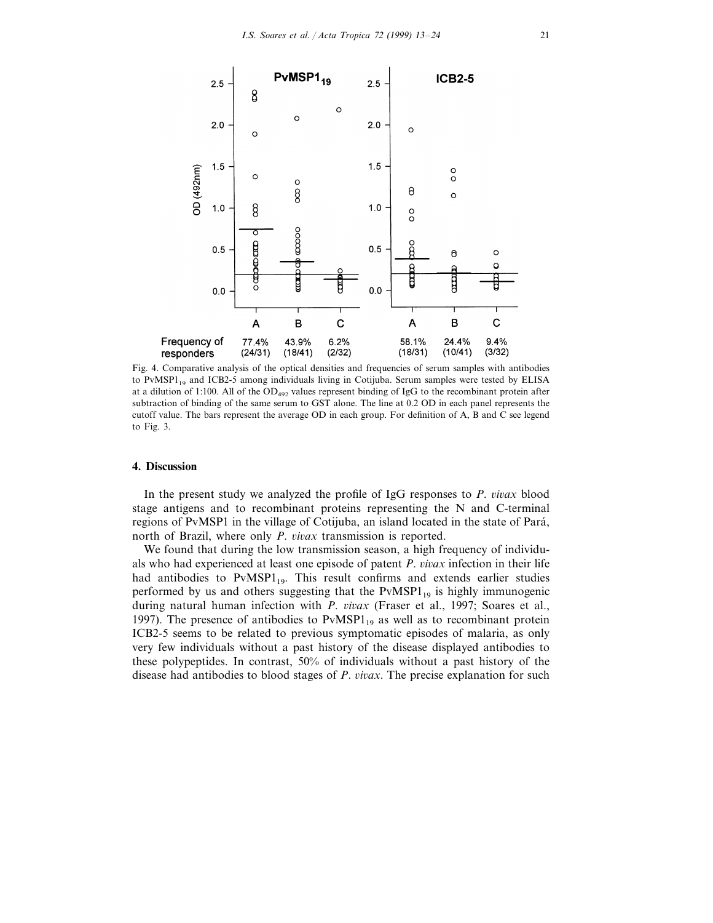

Fig. 4. Comparative analysis of the optical densities and frequencies of serum samples with antibodies to PvMSP<sub>119</sub> and ICB2-5 among individuals living in Cotijuba. Serum samples were tested by ELISA at a dilution of 1:100. All of the OD<sub>492</sub> values represent binding of IgG to the recombinant protein after subtraction of binding of the same serum to GST alone. The line at 0.2 OD in each panel represents the cutoff value. The bars represent the average OD in each group. For definition of A, B and C see legend to Fig. 3.

#### **4. Discussion**

In the present study we analyzed the profile of IgG responses to  $P$ .  $\text{vivax}$  blood stage antigens and to recombinant proteins representing the N and C-terminal regions of PvMSP1 in the village of Cotijuba, an island located in the state of Para´, north of Brazil, where only *P. vivax* transmission is reported.

We found that during the low transmission season, a high frequency of individuals who had experienced at least one episode of patent *P. vivax* infection in their life had antibodies to  $PvMSP1_{19}$ . This result confirms and extends earlier studies performed by us and others suggesting that the  $PvMSPI_{19}$  is highly immunogenic during natural human infection with *P. vivax* (Fraser et al., 1997; Soares et al., 1997). The presence of antibodies to  $PvMSPI_{19}$  as well as to recombinant protein ICB2-5 seems to be related to previous symptomatic episodes of malaria, as only very few individuals without a past history of the disease displayed antibodies to these polypeptides. In contrast, 50% of individuals without a past history of the disease had antibodies to blood stages of *P. vivax*. The precise explanation for such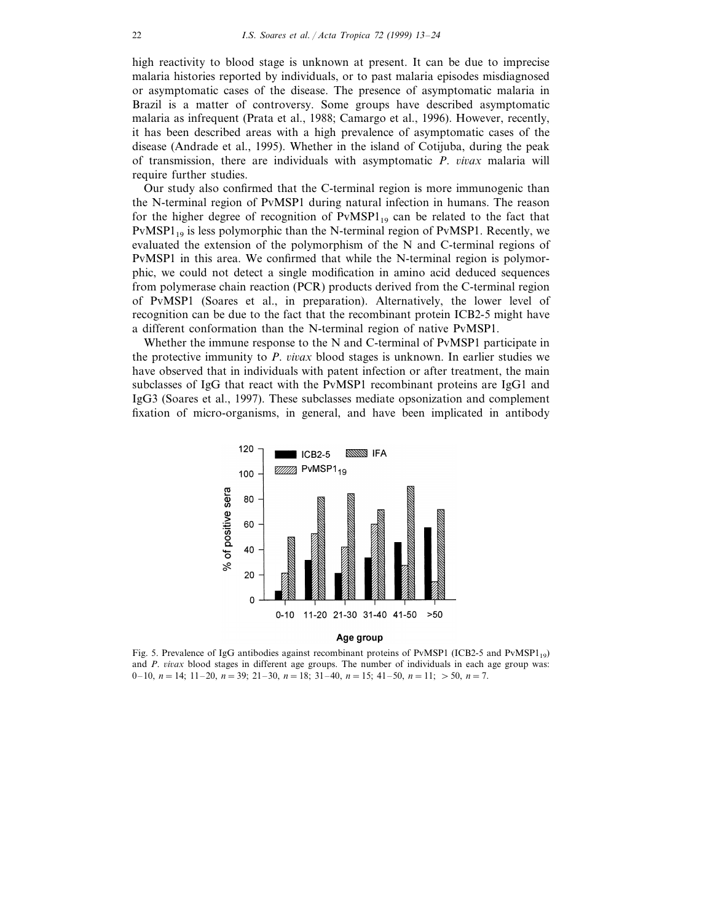high reactivity to blood stage is unknown at present. It can be due to imprecise malaria histories reported by individuals, or to past malaria episodes misdiagnosed or asymptomatic cases of the disease. The presence of asymptomatic malaria in Brazil is a matter of controversy. Some groups have described asymptomatic malaria as infrequent (Prata et al., 1988; Camargo et al., 1996). However, recently, it has been described areas with a high prevalence of asymptomatic cases of the disease (Andrade et al., 1995). Whether in the island of Cotijuba, during the peak of transmission, there are individuals with asymptomatic *P. vivax* malaria will require further studies.

Our study also confirmed that the C-terminal region is more immunogenic than the N-terminal region of PvMSP1 during natural infection in humans. The reason for the higher degree of recognition of  $PvMSP1_{19}$  can be related to the fact that  $PvMSPI_{19}$  is less polymorphic than the N-terminal region of  $PvMSPI$ . Recently, we evaluated the extension of the polymorphism of the N and C-terminal regions of PvMSP1 in this area. We confirmed that while the N-terminal region is polymorphic, we could not detect a single modification in amino acid deduced sequences from polymerase chain reaction (PCR) products derived from the C-terminal region of PvMSP1 (Soares et al., in preparation). Alternatively, the lower level of recognition can be due to the fact that the recombinant protein ICB2-5 might have a different conformation than the N-terminal region of native PvMSP1.

Whether the immune response to the N and C-terminal of PvMSP1 participate in the protective immunity to *P. vivax* blood stages is unknown. In earlier studies we have observed that in individuals with patent infection or after treatment, the main subclasses of IgG that react with the PvMSP1 recombinant proteins are IgG1 and IgG3 (Soares et al., 1997). These subclasses mediate opsonization and complement fixation of micro-organisms, in general, and have been implicated in antibody



Fig. 5. Prevalence of IgG antibodies against recombinant proteins of PvMSP1 (ICB2-5 and PvMSP1<sub>19</sub>) and *P. vivax* blood stages in different age groups. The number of individuals in each age group was: 0–10,  $n = 14$ ;  $11-20$ ,  $n = 39$ ;  $21-30$ ,  $n = 18$ ;  $31-40$ ,  $n = 15$ ;  $41-50$ ,  $n = 11$ ;  $> 50$ ,  $n = 7$ .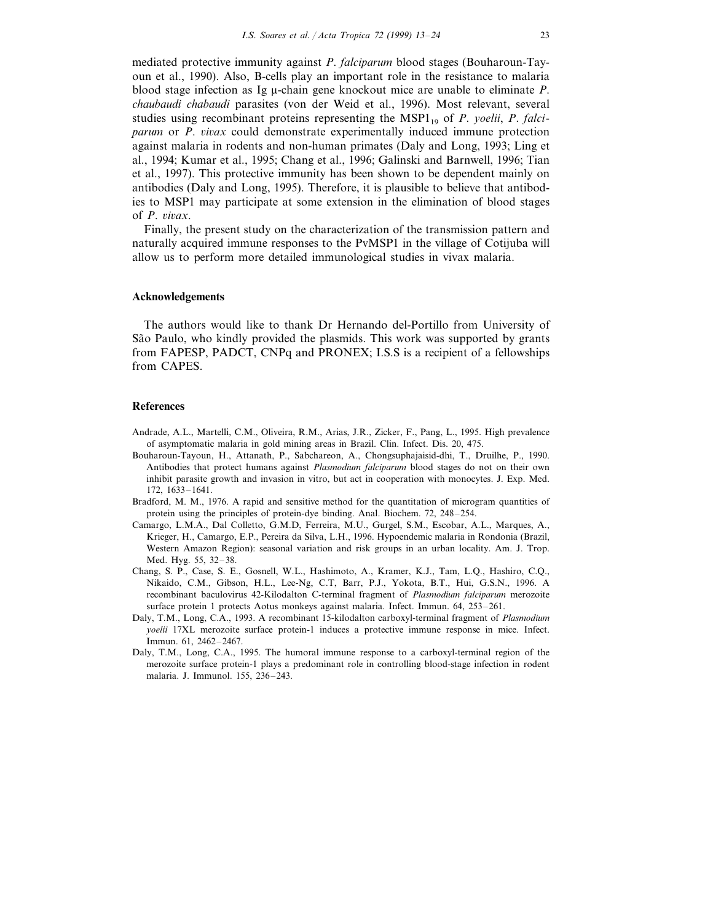mediated protective immunity against *P*. *falciparum* blood stages (Bouharoun-Tayoun et al., 1990). Also, B-cells play an important role in the resistance to malaria blood stage infection as Ig m-chain gene knockout mice are unable to eliminate *P*. *chaubaudi chabaudi* parasites (von der Weid et al., 1996). Most relevant, several studies using recombinant proteins representing the  $MSP1_{19}$  of *P. yoelii, P. falciparum* or *P. vivax* could demonstrate experimentally induced immune protection against malaria in rodents and non-human primates (Daly and Long, 1993; Ling et al., 1994; Kumar et al., 1995; Chang et al., 1996; Galinski and Barnwell, 1996; Tian et al., 1997). This protective immunity has been shown to be dependent mainly on antibodies (Daly and Long, 1995). Therefore, it is plausible to believe that antibodies to MSP1 may participate at some extension in the elimination of blood stages of *P. vivax.* 

Finally, the present study on the characterization of the transmission pattern and naturally acquired immune responses to the PvMSP1 in the village of Cotijuba will allow us to perform more detailed immunological studies in vivax malaria.

#### **Acknowledgements**

The authors would like to thank Dr Hernando del-Portillo from University of São Paulo, who kindly provided the plasmids. This work was supported by grants from FAPESP, PADCT, CNPq and PRONEX; I.S.S is a recipient of a fellowships from CAPES.

#### **References**

- Andrade, A.L., Martelli, C.M., Oliveira, R.M., Arias, J.R., Zicker, F., Pang, L., 1995. High prevalence of asymptomatic malaria in gold mining areas in Brazil. Clin. Infect. Dis. 20, 475.
- Bouharoun-Tayoun, H., Attanath, P., Sabchareon, A., Chongsuphajaisid-dhi, T., Druilhe, P., 1990. Antibodies that protect humans against *Plasmodium falciparum* blood stages do not on their own inhibit parasite growth and invasion in vitro, but act in cooperation with monocytes. J. Exp. Med. 172, 1633–1641.
- Bradford, M. M., 1976. A rapid and sensitive method for the quantitation of microgram quantities of protein using the principles of protein-dye binding. Anal. Biochem. 72, 248–254.
- Camargo, L.M.A., Dal Colletto, G.M.D, Ferreira, M.U., Gurgel, S.M., Escobar, A.L., Marques, A., Krieger, H., Camargo, E.P., Pereira da Silva, L.H., 1996. Hypoendemic malaria in Rondonia (Brazil, Western Amazon Region): seasonal variation and risk groups in an urban locality. Am. J. Trop. Med. Hyg. 55, 32–38.
- Chang, S. P., Case, S. E., Gosnell, W.L., Hashimoto, A., Kramer, K.J., Tam, L.Q., Hashiro, C.Q., Nikaido, C.M., Gibson, H.L., Lee-Ng, C.T, Barr, P.J., Yokota, B.T., Hui, G.S.N., 1996. A recombinant baculovirus 42-Kilodalton C-terminal fragment of *Plasmodium falciparum* merozoite surface protein 1 protects Aotus monkeys against malaria. Infect. Immun. 64, 253–261.
- Daly, T.M., Long, C.A., 1993. A recombinant 15-kilodalton carboxyl-terminal fragment of *Plasmodium yoelii* 17XL merozoite surface protein-1 induces a protective immune response in mice. Infect. Immun. 61, 2462–2467.
- Daly, T.M., Long, C.A., 1995. The humoral immune response to a carboxyl-terminal region of the merozoite surface protein-1 plays a predominant role in controlling blood-stage infection in rodent malaria. J. Immunol. 155, 236–243.